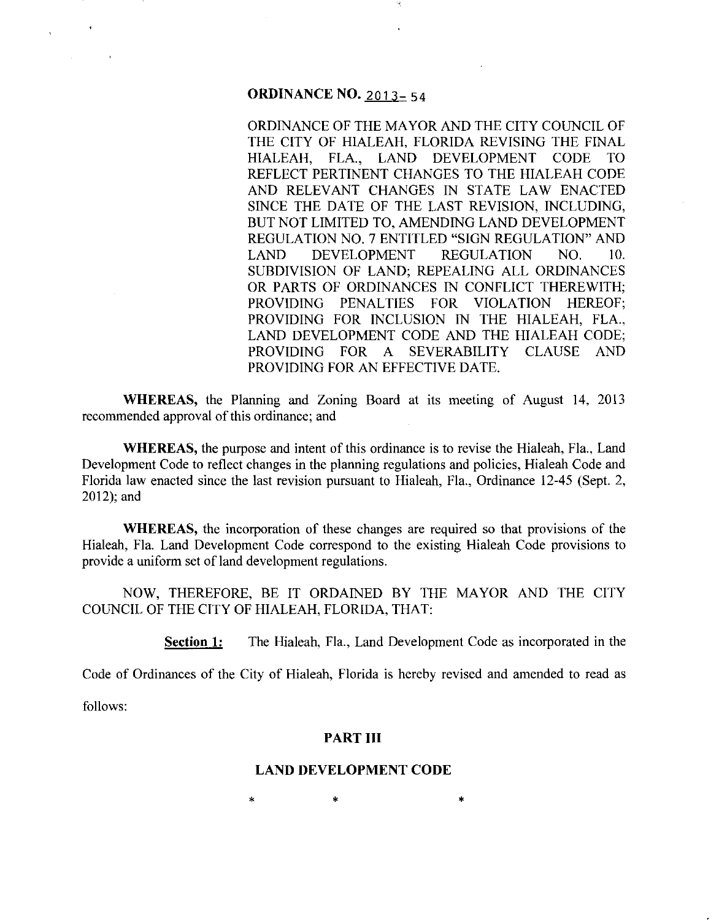# **ORDINANCE NO. 2013-54**

ORDINANCE OF THE MAYOR AND THE CITY COUNCIL OF THE CITY OF HIALEAH, FLORIDA REVISING THE FINAL HIALEAH, FLA., LAND DEVELOPMENT CODE TO REFLECT PERTINENT CHANGES TO THE HIALEAH CODE AND RELEVANT CHANGES IN STATE LAW ENACTED SINCE THE DATE OF THE LAST REVISION, INCLUDING, BUT NOT LIMITED TO, AMENDING LAND DEVELOPMENT REGULATION NO.7 ENTITLED "SIGN REGULATION" AND LAND DEVELOPMENT REGULATION NO. 10. SUBDIVISION OF LAND; REPEALING ALL ORDINANCES OR PARTS OF ORDINANCES IN CONFLICT THEREWITH; PROVIDING PENALTIES FOR VIOLATION HEREOF; PROVIDING FOR INCLUSION IN THE HIALEAH, FLA., LAND DEVELOPMENT CODE AND THE HIALEAH CODE; PROVIDING FOR A SEVERABILITY CLAUSE AND PROVIDING FOR AN EFFECTIVE DATE.

**WHEREAS,** the Planning and Zoning Board at its meeting of August 14, 2013 recommended approval of this ordinance; and

**WHEREAS,** the purpose and intent of this ordinance is to revise the Hialeah, Fla., Land Development Code to reflect changes in the planning regulations and policies, Hialeah Code and Florida law enacted since the last revision pursuant to Hialeah, Fla., Ordinance 12-45 (Sept. 2, 2012); and

**WHEREAS,** the incorporation of these changes are required so that provisions of the Hialeah, Fla. Land Development Code correspond to the existing Hialeah Code provisions to provide a uniform set of land development regulations.

NOW, THEREFORE, BE IT ORDAINED BY THE MAYOR AND THE CITY COUNCIL OF THE CITY OF HIALEAH, FLORIDA, THAT:

**Section 1:** The Hialeah, Fla., Land Development Code as incorporated in the

Code of Ordinances of the City of Hialeah, Florida is hereby revised and amended to read as

follows:

#### **PART III**

#### **LAND DEVELOPMENT CODE**

 $*$  \*  $*$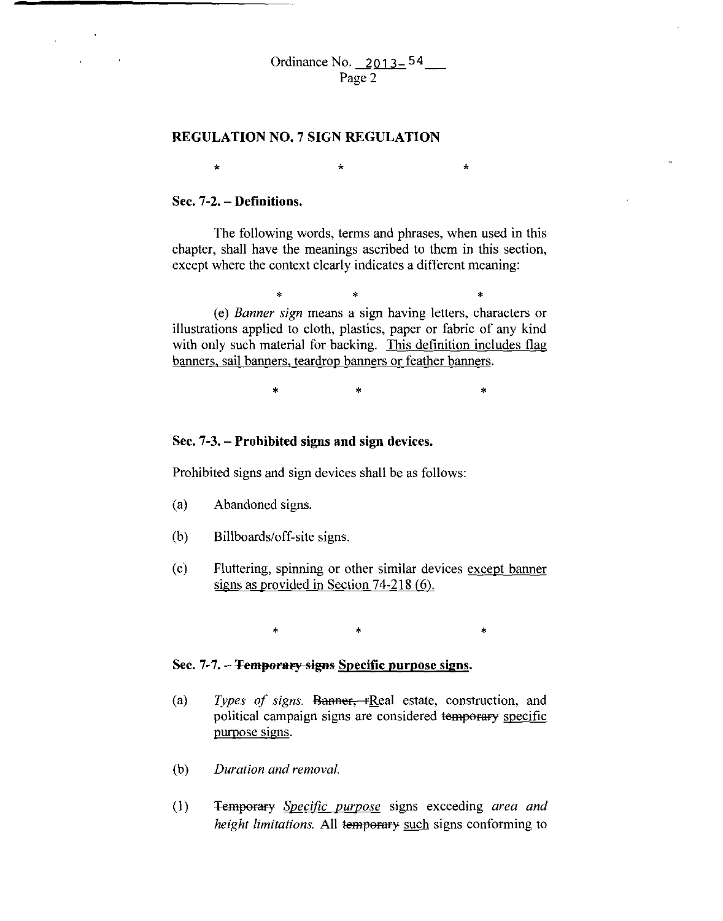#### **REGULATION NO.7 SIGN REGULATION**

 $\star$ 

#### **Sec. 7-2.- Definitions.**

The following words, terms and phrases, when used in this chapter, shall have the meanings ascribed to them in this section, except where the context clearly indicates a different meaning:

\* \* \*

\*

(e) *Banner sign* means a sign having letters, characters or illustrations applied to cloth, plastics, paper or fabric of any kind with only such material for backing. This definition includes flag banners, sail banners, teardrop banners or feather banners.

 $*$  \*  $*$ 

#### **Sec. 7-3.- Prohibited signs and sign devices.**

Prohibited signs and sign devices shall be as follows:

- (a) Abandoned signs.
- (b) Billboards/off-site signs.
- (c) Fluttering, spinning or other similar devices except banner signs as provided in Section 74-218 (6).

 $\ast$   $\ast$   $\ast$ 

### Sec. 7-7. - <del>Temporary signs</del> Specific purpose signs.

- (a) *Types of signs.* Banner, rReal estate, construction, and political campaign signs are considered temporary specific purpose signs.
- (b) *Duration and removal.*
- (I) Temperary *Specific purpose* signs exceeding *area and height limitations.* All temporary such signs conforming to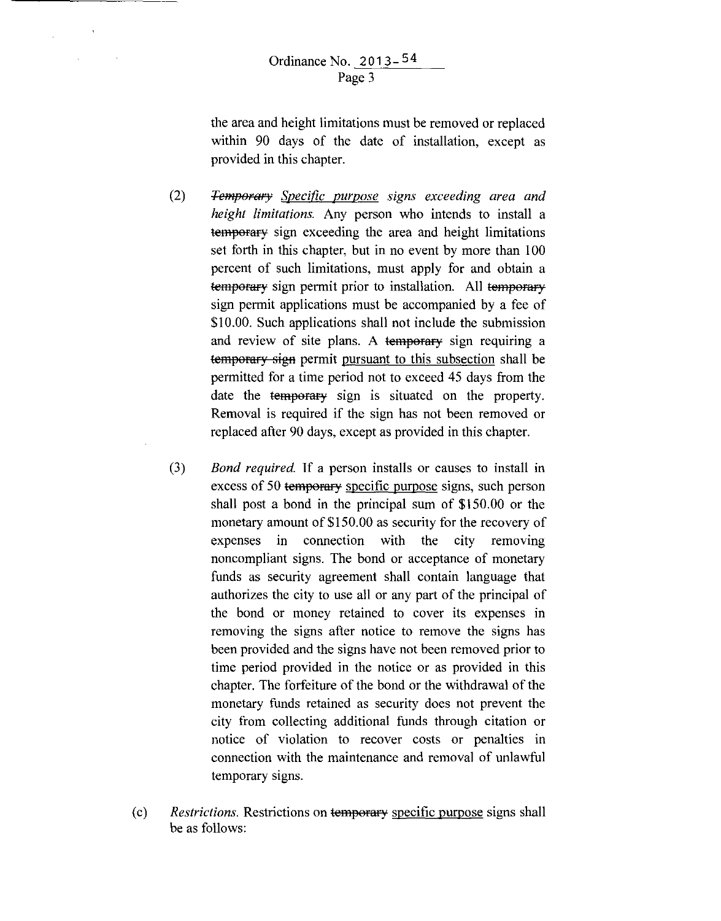$\alpha$ 

 $\sim$ 

the area and height limitations must be removed or replaced within 90 days of the date of installation, except as provided in this chapter.

- (2) *Temporary Specific purpose signs exceeding area and height limitations.* Any person who intends to install a temporary sign exceeding the area and height limitations set forth in this chapter, but in no event by more than 100 percent of such limitations, must apply for and obtain a temporary sign permit prior to installation. All temporary sign permit applications must be accompanied by a fee of \$10.00. Such applications shall not include the submission and review of site plans. A temperary sign requiring a temporary sign permit pursuant to this subsection shall be permitted for a time period not to exceed 45 days from the date the temporary sign is situated on the property. Removal is required if the sign has not been removed or replaced after 90 days, except as provided in this chapter.
- (3) *Bond required.* If a person installs or causes to install in excess of 50 temporary specific purpose signs, such person shall post a bond in the principal sum of \$150.00 or the monetary amount of \$150.00 as security for the recovery of expenses in connection with the city removing noncompliant signs. The bond or acceptance of monetary funds as security agreement shall contain language that authorizes the city to use all or any part of the principal of the bond or money retained to cover its expenses in removing the signs after notice to remove the signs has been provided and the signs have not been removed prior to time period provided in the notice or as provided in this chapter. The forfeiture of the bond or the withdrawal of the monetary funds retained as security does not prevent the city from collecting additional funds through citation or notice of violation to recover costs or penalties in connection with the maintenance and removal of unlawful temporary signs.
- (c) *Restrictions.* Restrictions on temporary specific purpose signs shall be as follows: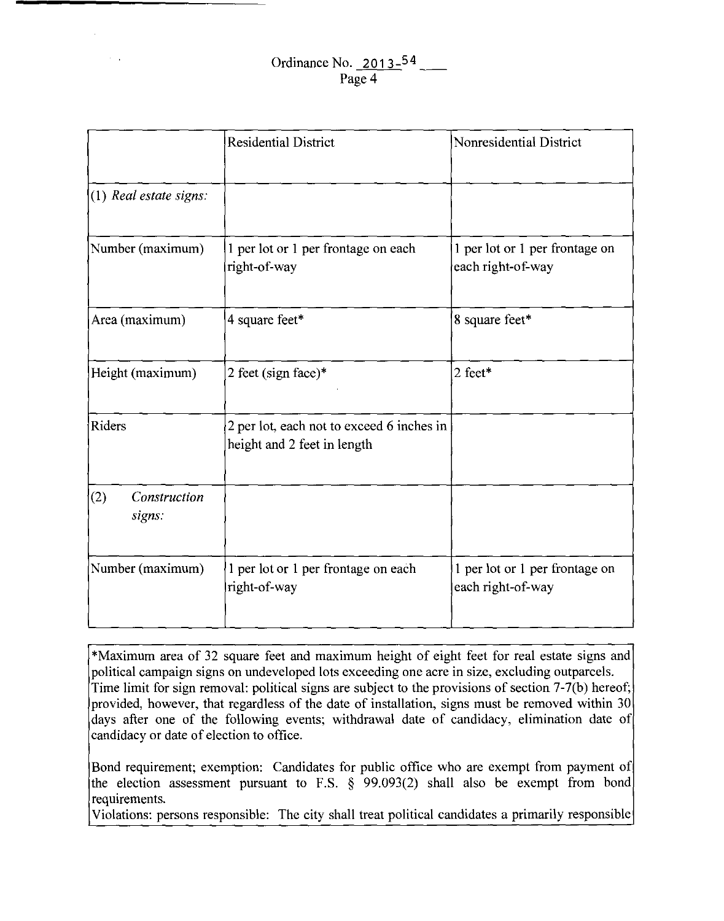# Ordinance No. 2013-54 Page 4

 $\sim 10$ 

|                               | <b>Residential District</b>                                              | Nonresidential District                             |  |
|-------------------------------|--------------------------------------------------------------------------|-----------------------------------------------------|--|
| $(1)$ Real estate signs:      |                                                                          |                                                     |  |
| Number (maximum)              | 1 per lot or 1 per frontage on each<br>right-of-way                      | 1 per lot or 1 per frontage on<br>each right-of-way |  |
| Area (maximum)                | 4 square feet*                                                           | 8 square feet*                                      |  |
| Height (maximum)              | 2 feet (sign face) $*$                                                   | 2 feet*                                             |  |
| Riders                        | 2 per lot, each not to exceed 6 inches in<br>height and 2 feet in length |                                                     |  |
| (2)<br>Construction<br>signs: |                                                                          |                                                     |  |
| Number (maximum)              | 1 per lot or 1 per frontage on each<br>right-of-way                      | 1 per lot or 1 per frontage on<br>each right-of-way |  |

\*Maximum area of 32 square feet and maximum height of eight feet for real estate signs and political campaign signs on undeveloped lots exceeding one acre in size, excluding outparcels. Time limit for sign removal: political signs are subject to the provisions of section 7-7(b) hereof; provided, however, that regardless of the date of installation, signs must be removed within 30 days after one of the following events; withdrawal date of candidacy, elimination date of candidacy or date of election to office.

Bond requirement; exemption: Candidates for public office who are exempt from payment of the election assessment pursuant to F.S. § 99.093(2) shall also be exempt from bond requirements.

Violations: persons responsible: The city shall treat political candidates a primarily responsible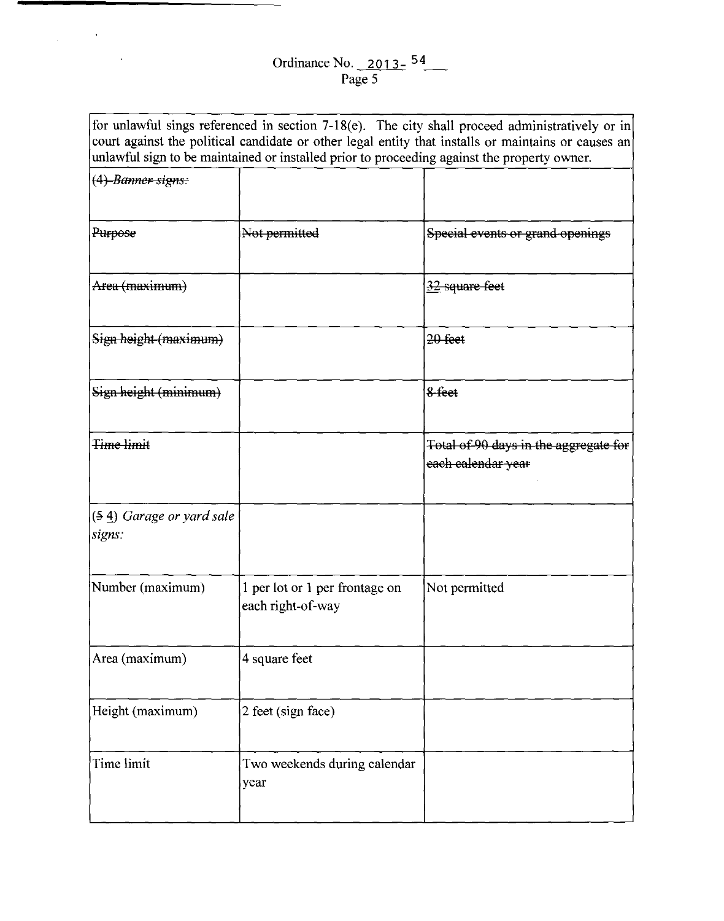$\label{eq:2.1} \frac{1}{\sqrt{2\pi}}\int_{\mathbb{R}^3}\frac{1}{\sqrt{2\pi}}\left(\frac{1}{\sqrt{2\pi}}\right)^2\frac{1}{\sqrt{2\pi}}\left(\frac{1}{\sqrt{2\pi}}\right)^2\frac{1}{\sqrt{2\pi}}\frac{1}{\sqrt{2\pi}}\frac{1}{\sqrt{2\pi}}\frac{1}{\sqrt{2\pi}}\frac{1}{\sqrt{2\pi}}\frac{1}{\sqrt{2\pi}}\frac{1}{\sqrt{2\pi}}\frac{1}{\sqrt{2\pi}}\frac{1}{\sqrt{2\pi}}\frac{1}{\sqrt{2\pi}}\frac{1}{\sqrt{$ 

 $\mathcal{L}^{\text{max}}_{\text{max}}$  and  $\mathcal{L}^{\text{max}}_{\text{max}}$ 

|                                      | unlawful sign to be maintained or installed prior to proceeding against the property owner. | for unlawful sings referenced in section 7-18(e). The city shall proceed administratively or in<br>court against the political candidate or other legal entity that installs or maintains or causes an |
|--------------------------------------|---------------------------------------------------------------------------------------------|--------------------------------------------------------------------------------------------------------------------------------------------------------------------------------------------------------|
| (4) Banner signs:                    |                                                                                             |                                                                                                                                                                                                        |
| Purpose                              | Not permitted                                                                               | Special events or grand openings                                                                                                                                                                       |
| Area (maximum)                       |                                                                                             | $\frac{32}{2}$ square feet                                                                                                                                                                             |
| Sign height (maximum)                |                                                                                             | 20 feet                                                                                                                                                                                                |
| Sign height (minimum)                |                                                                                             | 8-feet                                                                                                                                                                                                 |
| <del>Time limit</del>                |                                                                                             | Total of 90 days in the aggregate for<br>each calendar year                                                                                                                                            |
| $(54)$ Garage or yard sale<br>signs: |                                                                                             |                                                                                                                                                                                                        |
| Number (maximum)                     | 1 per lot or 1 per frontage on<br>each right-of-way                                         | Not permitted                                                                                                                                                                                          |
| Area (maximum)                       | 4 square feet                                                                               |                                                                                                                                                                                                        |
| Height (maximum)                     | 2 feet (sign face)                                                                          |                                                                                                                                                                                                        |
| Time limit                           | Two weekends during calendar<br>year                                                        |                                                                                                                                                                                                        |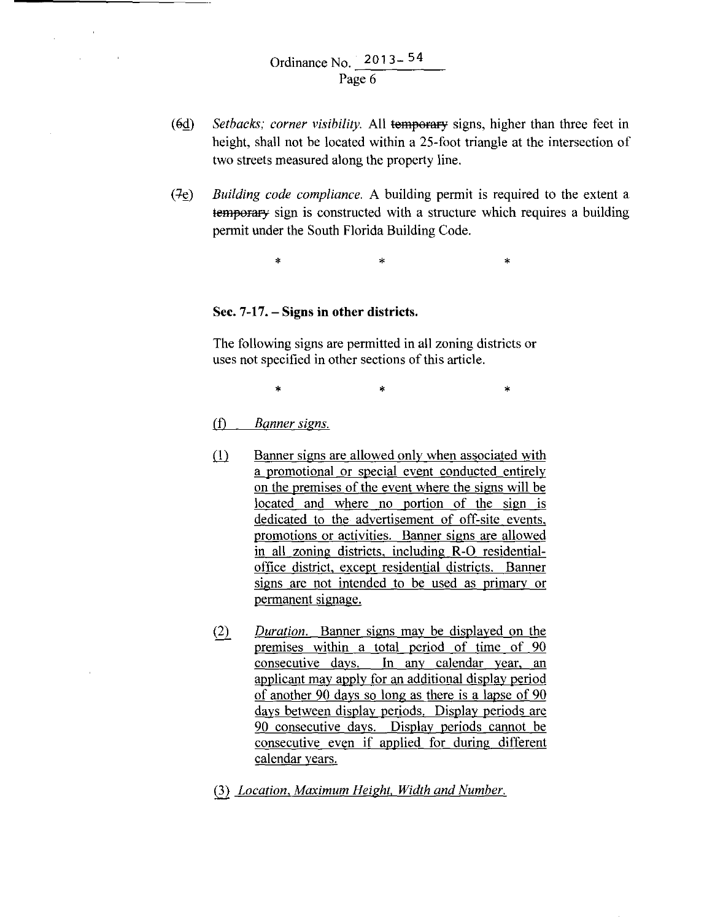- (6d) *Setbacks; corner visibility.* All temporary signs, higher than three feet in height, shall not be located within a 25-foot triangle at the intersection of two streets measured along the property line.
- (7e) *Building code compliance*. A building permit is required to the extent a temporary sign is constructed with a structure which requires a building permit under the South Florida Building Code.

 $\ddot{x}$  \*  $\ddot{x}$ 

#### **Sec. 7-17.- Signs in other districts.**

The following signs are permitted in all zoning districts or uses not specified in other sections of this article.

 $\ast$   $\ast$   $\ast$ 

#### (f) *Banner signs.*

- (1) Banner signs are allowed only when associated with a promotional or special event conducted entirely on the premises of the event where the signs will be located and where no portion of the sign is dedicated to the advertisement of off-site events, promotions or activities. Banner signs are allowed in all zoning districts, including R·O residentialoffice district. except residential districts. Banner signs are not intended to be used as primary or permanent signage.
- (2) *Duration.* Banner signs may be displayed on the premises within a total period of time of 90 consecutive days. In any calendar year, an applicant may apply for an additional display period of another 90 days so long as there is a lapse of 90 days between display periods. Display periods are 90 consecutive days. Display periods cannot be consecutive even if applied for during different calendar years.
- Q2 *Location, Maximum Height. Width and Number.*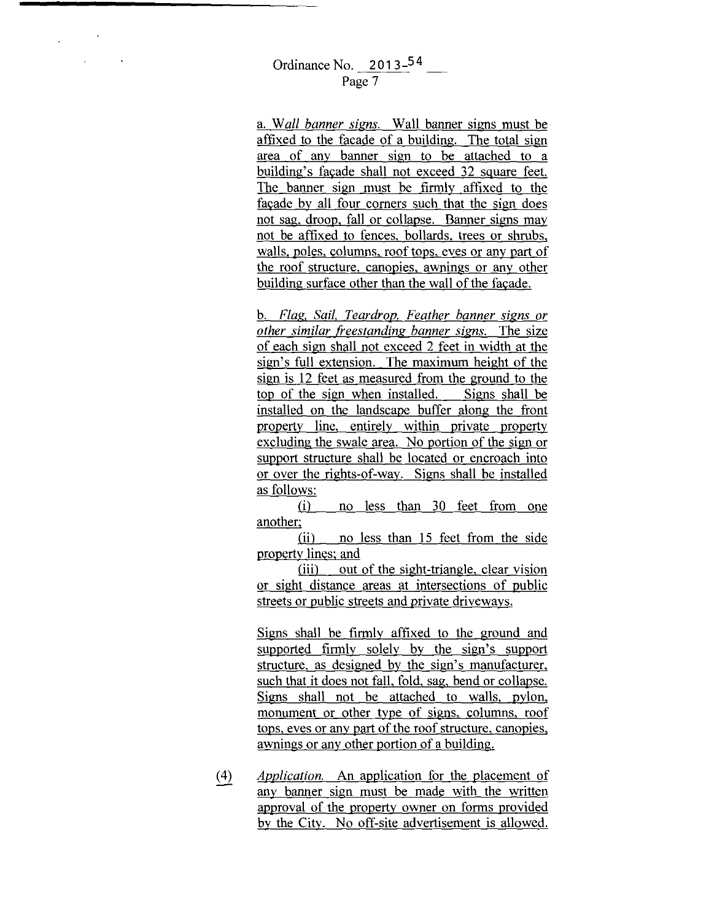a. Wall banner signs. Wall banner signs must be affixed to the facade of a building. The total sign area of any banner sign to be attached to a building's facade shall not exceed 32 square feet. The banner sign must be firmly affixed to the facade by all four comers such that the sign does not sag, droop, fall or collapse. Banner signs may not be affixed to fences, bollards, trees or shrubs, walls. poles, columns, roof tops, eves or any part of the roof structure, canopies, awnings or any other building surface other than the wall of the facade.

b. *Flag, Sail. Teardrop. Feather banner signs or other similar freestanding banner* signs. The size of each sign shall not exceed 2 feet in width at the sign's full extension. The maximum height of the sign is 12 feet as measured from the ground to the top of the sign when installed. Signs shall be installed on the landscape buffer along the front property line, entirely within private property excluding the swale area. No portion of the sign or support structure shall be located or encroach into or over the rights-of-way. Signs shall be installed as follows:

(i) no less than 30 feet from one another;

(ii) no less than 15 feet from the side property lines; and

(iii) out of the sight-triangle, clear vision or sight distance areas at intersections of public streets or public streets and private driveways.

Signs shall be firmly affixed to the ground and supported firmly solely by the sign's support structure, as designed by the sign's manufacturer, such that it does not fall, fold, sag, bend or collapse. Signs shall not be attached to walls, pylon, monument or other type of signs, columns, roof tops, eves or any part of the roof structure, canopies, awnings or any other portion of a building.

*Application.* An application for the placement of  $(4)$ any banner sign must be made with the written approval of the property owner on forms provided by the City. No off-site advertisement is allowed.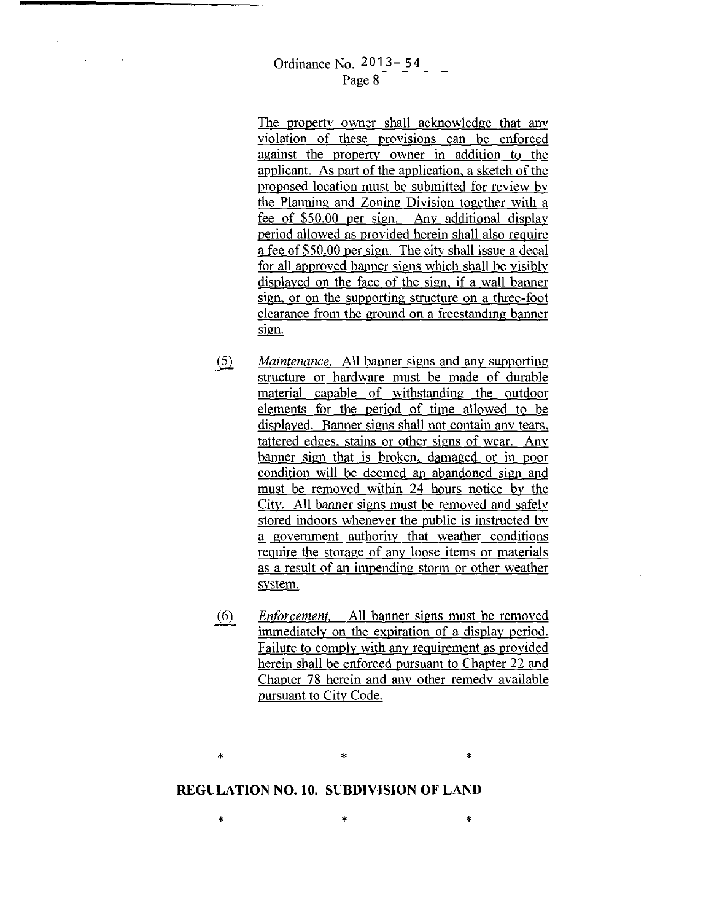The property owner shall acknowledge that any violation of these provisions can be enforced against the property owner in addition to the applicant. As part of the application, a sketch of the proposed location must be submitted for review by the Planning and Zoning Division together with a fee of \$50.00 per sign. Any additional display period allowed as provided herein shall also require a fee of \$50.00 per sign. The city shall issue a decal for all approved banner signs which shall be visibly displayed on the face of the sign, if a wall banner sign, or on the supporting structure on a three-foot clearance from the ground on a freestanding banner sign.

- $\circ$ *Maintenance.* All banner signs and any supporting structure or hardware must be made of durable material capable of withstanding the outdoor elements for the period of time allowed to be displayed. Banner signs shall not contain any tears, tattered edges, stains or other signs of wear. Any banner sign that is broken, damaged or in poor condition will be deemed an abandoned sign and must be removed within 24 hours notice by the City. All banner signs must be removed and safely stored indoors whenever the public is instructed by a government authority that weather conditions require the storage of any loose items or materials as a result of an impending storm or other weather system.
- *EnfOrcement.* All banner signs must be removed  $(6)$ immediately on the expiration of a display period. Failure to comply with any requirement as provided herein shall be enforced pursuant to Chapter 22 and Chapter 78 herein and any other remedy available pursuant to City Code.

\* \*

# **REGULATION** NO, **10, SUBDIVISION OF LAND**

\*

 $\ast$   $\ast$   $\ast$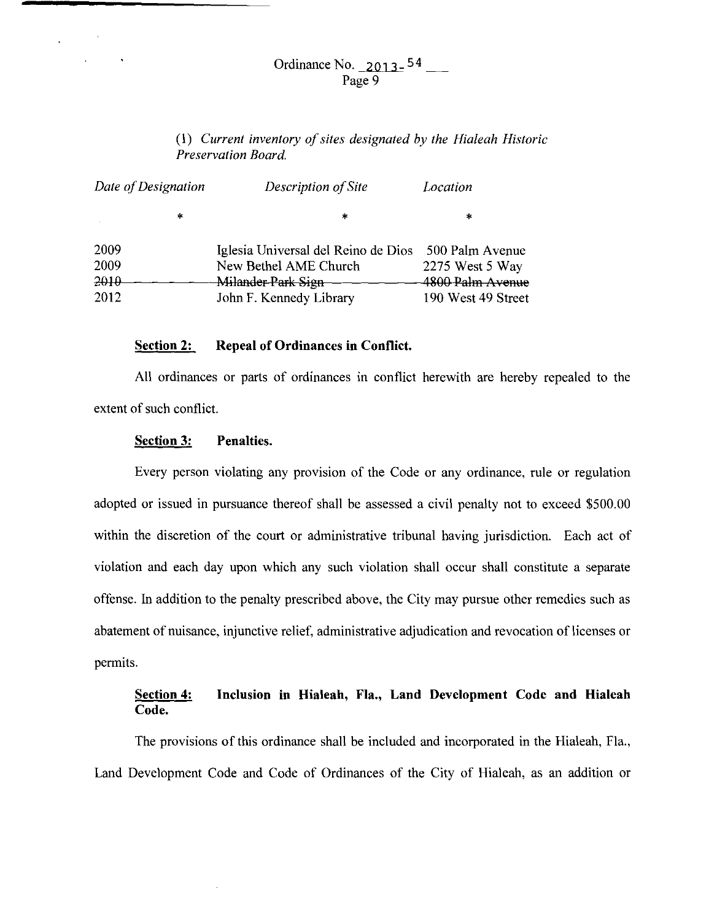## Ordinance No.  $2013-54$  \_\_\_ Page 9

## (1) *Current inventory of sites designated by the Hialeah Historic Preservation Board.*

| Date of Designation |        | Description of Site                 | Location           |  |
|---------------------|--------|-------------------------------------|--------------------|--|
|                     | $\ast$ | *                                   | *                  |  |
| 2009                |        | Iglesia Universal del Reino de Dios | 500 Palm Avenue    |  |
| 2009                |        | New Bethel AME Church               | 2275 West 5 Way    |  |
| 2010                |        | Milander Park Sign                  | 4800 Palm Avenue   |  |
| 2012                |        | John F. Kennedy Library             | 190 West 49 Street |  |

#### **Section 2: Repeal of Ordinances in Conflict.**

All ordinances or parts of ordinances in conflict herewith are hereby repealed to the extent of such conflict.

### **Section 3: Penalties.**

Every person violating any provision of the Code or any ordinance, rule or regulation adopted or issued in pursuance thereof shall be assessed a civil penalty not to exceed \$500.00 within the discretion of the court or administrative tribunal having jurisdiction. Each act of violation and each day upon which any such violation shall occur shall constitute a separate offense. In addition to the penalty prescribed above, the City may pursue other remedies such as abatement of nuisance, injunctive relief, administrative adjudication and revocation of licenses or permits.

## **Section 4: Inclusion in Hialeah, Fla., Land Development Code and Hialeah Code.**

The provisions of this ordinance shall be included and incorporated in the Hialeah, Fla., Land Development Code and Code of Ordinances of the City of Hialeah, as an addition or